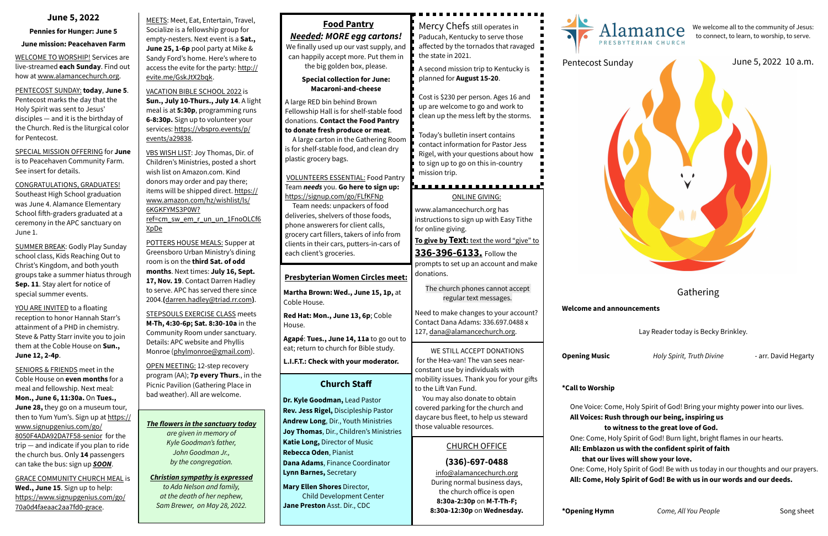MEETS: Meet, Eat, Entertain, Travel, Socialize is a fellowship group for empty-nesters. Next event is a **Sat., June 25, 1-6p** pool party at Mike & Sandy Ford's home. Here's where to access the evite for the party: [http://](http://evite.me/GskJtX2bqk) [evite.me/GskJtX2bqk](http://evite.me/GskJtX2bqk).

VACATION BIBLE SCHOOL 2022 is **Sun., July 10-Thurs., July 14**. A light meal is at **5:30p**, programming runs **6-8:30p.** Sign up to volunteer your [services: https://vbspro.events/p/](https://vbspro.events/p/events/a29838) [events/a29838.](https://vbspro.events/p/events/a29838)

VBS WISH LIST: Joy Thomas, Dir. of Children's Ministries, posted a short wish list on Amazon.com. Kind donors may order and pay there; [items will be shipped direct. https://](https://www.amazon.com/hz/wishlist/ls/6KGKFYMS3P0W?ref=cm_sw_em_r_un_un_1FnoOLCf6XpDe) [www.amazon.com/hz/wishlist/ls/](https://www.amazon.com/hz/wishlist/ls/6KGKFYMS3P0W?ref=cm_sw_em_r_un_un_1FnoOLCf6XpDe) [6KGKFYMS3P0W?](https://www.amazon.com/hz/wishlist/ls/6KGKFYMS3P0W?ref=cm_sw_em_r_un_un_1FnoOLCf6XpDe) [ref=cm\\_sw\\_em\\_r\\_un\\_un\\_1FnoOLCf6](https://www.amazon.com/hz/wishlist/ls/6KGKFYMS3P0W?ref=cm_sw_em_r_un_un_1FnoOLCf6XpDe)

[XpDe](https://www.amazon.com/hz/wishlist/ls/6KGKFYMS3P0W?ref=cm_sw_em_r_un_un_1FnoOLCf6XpDe)

POTTERS HOUSE MEALS: Supper at Greensboro Urban Ministry's dining room is on the **third Sat. of odd months**. Next times: **July 16, Sept. 17, Nov. 19**. Contact Darren Hadley to serve. APC has served there since 2004.**(**[darren.hadley@triad.rr.com](mailto:darren.hadley@triad.rr.com)**)**.

STEPSOULS EXERCISE CLASS meets **M-Th, 4:30-6p; Sat. 8:30-10a** in the Community Room under sanctuary. Details: APC website and Phyllis Monroe ([phylmonroe@gmail.com](mailto:phylmonroe@gmail.com)).

YOU ARE INVITED to a floating reception to honor Hannah Starr's attainment of a PHD in chemistry. Steve & Patty Starr invite you to join them at the Coble House on **Sun., June 12, 2-4p**.

OPEN MEETING: 12-step recovery program (AA); **7p every Thurs**., in the Picnic Pavilion (Gathering Place in bad weather). All are welcome.

## The flowers in the sanctuary today **And Structuary to a same of the sanctuary of same in the same of the same of the same of the same of the same of the same of the same of the same of the same of the same of the same of t**

#### **June 5, 2022**

#### **Pennies for Hunger: June 5**

#### **June mission: Peacehaven Farm**

WELCOME TO WORSHIP! Services are live-streamed **each Sunday**. Find out how at [www.alamancechurch.org](http://www.alamancechurch.org).

PENTECOST SUNDAY: **today**, **June 5**. Pentecost marks the day that the Holy Spirit was sent to Jesus' disciples — and it is the birthday of the Church. Red is the liturgical color for Pentecost.

SPECIAL MISSION OFFERING for **June** is to Peacehaven Community Farm. See insert for details.

CONGRATULATIONS, GRADUATES! Southeast High School graduation was June 4. Alamance Elementary School fifth-graders graduated at a ceremony in the APC sanctuary on June 1.

> Come, Holy Spirit of God! Be with us today in our thoughts and our prayers. **All: Come, Holy Spirit of God! Be with us in our words and our deeds.**

SUMMER BREAK: Godly Play Sunday school class, Kids Reaching Out to Christ's Kingdom, and both youth groups take a summer hiatus through **Sep. 11**. Stay alert for notice of special summer events.

SENIORS & FRIENDS meet in the Coble House on **even months** for a meal and fellowship. Next meal: **Mon., June 6, 11:30a.** On **Tues., June 28,** they go on a museum tour, then to Yum Yum's. Sign up at [https://](https://www.signupgenius.com/go/8050F4ADA92DA7F58-senior) [www.signupgenius.com/go/](https://www.signupgenius.com/go/8050F4ADA92DA7F58-senior) [8050F4ADA92DA7F58-senior](https://www.signupgenius.com/go/8050F4ADA92DA7F58-senior) for the trip — and indicate if you plan to ride the church bus. Only **14** passengers can take the bus: sign up *SOON*.

GRACE COMMUNITY CHURCH MEAL is **Wed., June 15**. Sign up to help: [https://www.signupgenius.com/go/](https://www.signupgenius.com/go/70a0d4faeaac2aa7fd0-grace) [70a0d4faeaac2aa7fd0-grace.](https://www.signupgenius.com/go/70a0d4faeaac2aa7fd0-grace)

**Jane Preston** Asst. Dir., CDC

**8:30a-12:30p** on **Wednesday.**

# Alamance

#### Gathering

#### **Welcome and announcements**

Lay Reader today is Becky Brinkley.

**Music** *Adly Spirit, Truth Divine* **- arr. David Hegarty** 

#### **Worship**

oice: Come, Holy Spirit of God! Bring your mighty power into our lives.

- **All Voices: Rush through our being, inspiring us** 
	- **to witness to the great love of God.**
- Come, Holy Spirit of God! Burn light, bright flames in our hearts.
- **All: Emblazon us with the confident spirit of faith**
- **that our lives will show your love.**



| <b>Food Pantry</b>                                                                                                                                                                                                                                                | Mercy Chefs still operates in                                                                                                                                                                   |                                    |
|-------------------------------------------------------------------------------------------------------------------------------------------------------------------------------------------------------------------------------------------------------------------|-------------------------------------------------------------------------------------------------------------------------------------------------------------------------------------------------|------------------------------------|
| <b>Needed: MORE egg cartons!</b><br>We finally used up our vast supply, and<br>can happily accept more. Put them in                                                                                                                                               | Paducah, Kentucky to serve those<br>affected by the tornados that ravaged<br>the state in 2021.                                                                                                 |                                    |
| the big golden box, please.<br><b>Special collection for June:</b><br>Macaroni-and-cheese<br>A large RED bin behind Brown                                                                                                                                         | A second mission trip to Kentucky is<br>planned for August 15-20.<br>Cost is \$230 per person. Ages 16 and<br>up are welcome to go and work to                                                  | Pentec                             |
| Fellowship Hall is for shelf-stable food<br>donations. Contact the Food Pantry<br>to donate fresh produce or meat.<br>A large carton in the Gathering Room<br>is for shelf-stable food, and clean dry<br>plastic grocery bags.                                    | clean up the mess left by the storms.<br>Today's bulletin insert contains<br>contact information for Pastor Jess<br>Rigel, with your questions about how<br>to sign up to go on this in-country |                                    |
| <b>VOLUNTEERS ESSENTIAL: Food Pantry</b><br>Team needs you. Go here to sign up:                                                                                                                                                                                   | mission trip.<br>.                                                                                                                                                                              |                                    |
| https://signup.com/go/FLfKFNp<br>Team needs: unpackers of food<br>deliveries, shelvers of those foods,<br>phone answerers for client calls,<br>grocery cart fillers, takers of info from<br>clients in their cars, putters-in-cars of<br>each client's groceries. | <b>ONLINE GIVING:</b><br>www.alamancechurch.org has<br>instructions to sign up with Easy Tithe<br>for online giving.<br>To give by Text: text the word "give" to<br>336-396-6133. Follow the    |                                    |
| <b>Presbyterian Women Circles meet:</b>                                                                                                                                                                                                                           | prompts to set up an account and make<br>donations.                                                                                                                                             |                                    |
| Martha Brown: Wed., June 15, 1p, at<br>Coble House.                                                                                                                                                                                                               | The church phones cannot accept<br>regular text messages.                                                                                                                                       |                                    |
| Red Hat: Mon., June 13, 6p; Coble<br>House.                                                                                                                                                                                                                       | Need to make changes to your account?<br>Contact Dana Adams: 336.697.0488 x<br>127, dana@alamancechurch.org.                                                                                    | Welcom                             |
| Agapé: Tues., June 14, 11a to go out to<br>eat; return to church for Bible study.                                                                                                                                                                                 | WE STILL ACCEPT DONATIONS<br>for the Hea-van! The van sees near-                                                                                                                                | Opening                            |
| L.I.F.T.: Check with your moderator.<br><b>Church Staff</b>                                                                                                                                                                                                       | constant use by individuals with<br>mobility issues. Thank you for your gifts                                                                                                                   |                                    |
| Dr. Kyle Goodman, Lead Pastor<br>Rev. Jess Rigel, Discipleship Pastor<br>Andrew Long, Dir., Youth Ministries                                                                                                                                                      | to the Lift Van Fund.<br>You may also donate to obtain<br>covered parking for the church and<br>daycare bus fleet, to help us steward<br>those valuable resources.                              | *Call to<br>One V<br><b>All Vo</b> |
| Joy Thomas, Dir., Children's Ministries<br>Katie Long, Director of Music<br>Rebecca Oden, Pianist                                                                                                                                                                 | <b>CHURCH OFFICE</b>                                                                                                                                                                            | One: 0<br>All: Er                  |
| Dana Adams, Finance Coordinator<br>Lynn Barnes, Secretary<br>Mary Ellen Shores Director,<br><b>Child Development Center</b>                                                                                                                                       | $(336) - 697 - 0488$<br>info@alamancechurch.org<br>During normal business days,<br>the church office is open<br>8:30a-2:30p on M-T-Th-F;                                                        | th<br>One: 0<br>All: Co            |

We welcome all to the community of Jesus: to connect, to learn, to worship, to serve.

*are given in memory of Kyle Goodman's father, John Goodman Jr., by the congregation.*

#### *Christian sympathy is expressed*

*to Ada Nelson and family, at the death of her nephew, Sam Brewer, on May 28, 2022.*